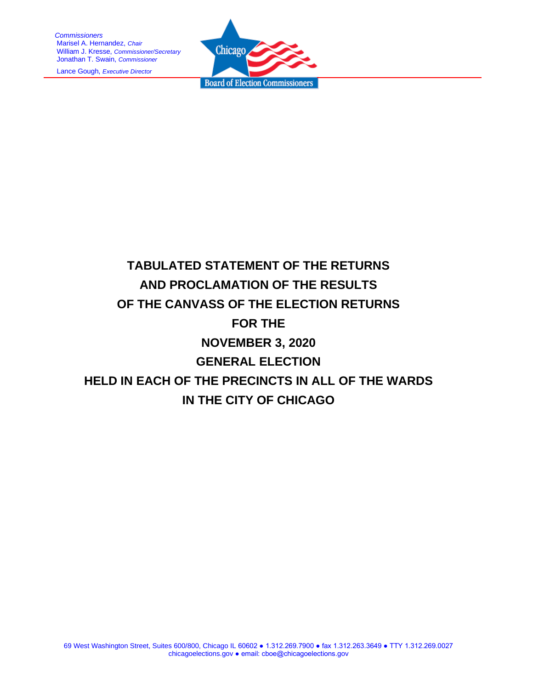*Commissioners* Marisel A. Hernandez, *Chair* William J. Kresse, *Commissioner/Secretary* Jonathan T. Swain, *Commissioner*

Lance Gough, *Executive Director*



# **TABULATED STATEMENT OF THE RETURNS AND PROCLAMATION OF THE RESULTS OF THE CANVASS OF THE ELECTION RETURNS FOR THE NOVEMBER 3, 2020 GENERAL ELECTION HELD IN EACH OF THE PRECINCTS IN ALL OF THE WARDS IN THE CITY OF CHICAGO**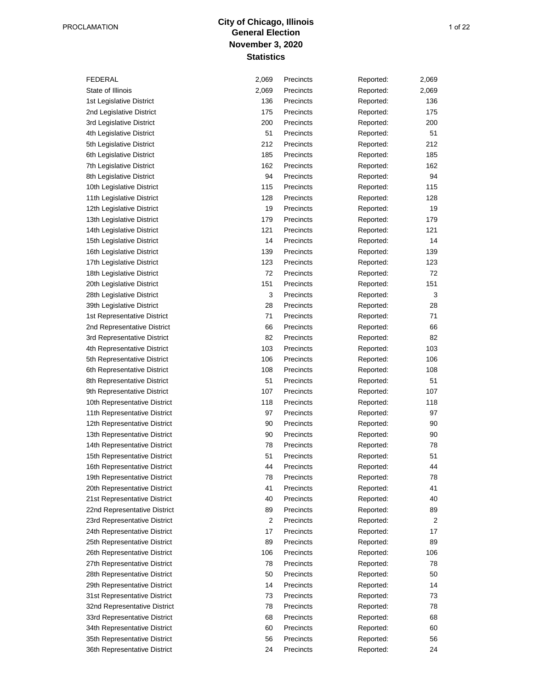## **City of Chicago, Illinois** PROCLAMATION 1 of 22 **November 3, 2020 Statistics**

35th Representative District 36th Representative District 31st Representative District 32nd Representative District 33rd Representative District 34th Representative District 26th Representative District 27th Representative District 28th Representative District 29th Representative District 22nd Representative District 23rd Representative District 24th Representative District 25th Representative District 16th Representative District 19th Representative District 20th Representative District 21st Representative District 12th Representative District 13th Representative District 14th Representative District 15th Representative District 8th Representative District 9th Representative District 10th Representative District 11th Representative District 3rd Representative District 4th Representative District 5th Representative District 6th Representative District 28th Legislative District 39th Legislative District 1st Representative District 2nd Representative District 16th Legislative District 17th Legislative District 18th Legislative District 20th Legislative District 12th Legislative District 13th Legislative District 14th Legislative District 15th Legislative District 1st Legislative District 2nd Legislative District 7th Legislative District 8th Legislative District 10th Legislative District 11th Legislative District 3rd Legislative District 4th Legislative District 5th Legislative District 6th Legislative District FEDERAL State of Illinois

| 2,069 | Precincts | Reported: | 2,069     |
|-------|-----------|-----------|-----------|
| 2,069 | Precincts | Reported: | 2,069     |
| 136   | Precincts | Reported: | 136       |
| 175   | Precincts | Reported: | 175       |
| 200   | Precincts | Reported: | 200       |
| 51    | Precincts | Reported: | 51        |
| 212   | Precincts | Reported: | 212       |
| 185   | Precincts | Reported: | 185       |
| 162   | Precincts | Reported: | 162       |
| 94    | Precincts | Reported: | 94        |
| 115   | Precincts | Reported: | 115       |
| 128   | Precincts | Reported: | 128       |
| 19    | Precincts | Reported: | 19        |
| 179   | Precincts | Reported: | 179       |
| 121   | Precincts | Reported: | 121       |
| 14    | Precincts |           | 14        |
| 139   | Precincts | Reported: | 139       |
| 123   | Precincts | Reported: |           |
| 72    | Precincts | Reported: | 123<br>72 |
| 151   | Precincts | Reported: | 151       |
|       | Precincts | Reported: |           |
| 3     |           | Reported: | 3         |
| 28    | Precincts | Reported: | 28        |
| 71    | Precincts | Reported: | 71        |
| 66    | Precincts | Reported: | 66        |
| 82    | Precincts | Reported: | 82        |
| 103   | Precincts | Reported: | 103       |
| 106   | Precincts | Reported: | 106       |
| 108   | Precincts | Reported: | 108       |
| 51    | Precincts | Reported: | 51        |
| 107   | Precincts | Reported: | 107       |
| 118   | Precincts | Reported: | 118       |
| 97    | Precincts | Reported: | 97        |
| 90    | Precincts | Reported: | 90        |
| 90    | Precincts | Reported: | 90        |
| 78    | Precincts | Reported: | 78        |
| 51    | Precincts | Reported: | 51        |
| 44    | Precincts | Reported: | 44        |
| 78    | Precincts | Reported: | 78        |
| 41    | Precincts | Reported: | 41        |
| 40    | Precincts | Reported: | 40        |
| 89    | Precincts | Reported: | 89        |
| 2     | Precincts | Reported: | 2         |
| 17    | Precincts | Reported: | 17        |
| 89    | Precincts | Reported: | 89        |
| 106   | Precincts | Reported: | 106       |
| 78    | Precincts | Reported: | 78        |
| 50    | Precincts | Reported: | 50        |
| 14    | Precincts | Reported: | 14        |
| 73    | Precincts | Reported: | 73        |
| 78    | Precincts | Reported: | 78        |
| 68    | Precincts | Reported: | 68        |
| 60    | Precincts | Reported: | 60        |
| 56    | Precincts | Reported: | 56        |
| 24    | Precincts | Reported: | 24        |
|       |           |           |           |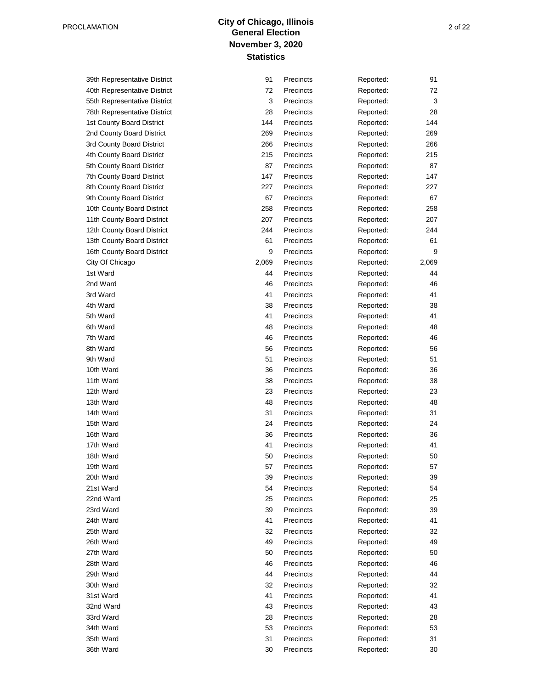## **City of Chicago, Illinois** PROCLAMATION 2 of 22 **November 3, 2020 Statistics**

33rd Ward 34th Ward 35th Ward 36th Ward 29th Ward 30th Ward 31st Ward 32nd Ward 25th Ward 26th Ward 27th Ward 28th Ward 21st Ward 22nd Ward 23rd Ward 24th Ward 17th Ward 18th Ward 19th Ward 20th Ward 13th Ward 14th Ward 15th Ward 16th Ward 9th Ward 10th Ward 11th Ward 12th Ward 5th Ward 6th Ward 7th Ward 8th Ward 1st Ward 2nd Ward 3rd Ward 4th Ward 12th County Board District 13th County Board District 16th County Board District City Of Chicago 8th County Board District 9th County Board District 10th County Board District 11th County Board District 3rd County Board District 4th County Board District 5th County Board District 7th County Board District 55th Representative District 78th Representative District 1st County Board District 2nd County Board District 39th Representative District 40th Representative District

| 91    | Precincts | Reported: | 91    |
|-------|-----------|-----------|-------|
| 72    | Precincts | Reported: | 72    |
| 3     | Precincts | Reported: | 3     |
| 28    | Precincts | Reported: | 28    |
| 144   | Precincts | Reported: | 144   |
| 269   | Precincts | Reported: | 269   |
| 266   | Precincts | Reported: | 266   |
| 215   | Precincts | Reported: | 215   |
| 87    | Precincts | Reported: | 87    |
| 147   | Precincts | Reported: | 147   |
| 227   | Precincts | Reported: | 227   |
| 67    | Precincts | Reported: | 67    |
| 258   | Precincts | Reported: | 258   |
| 207   | Precincts | Reported: | 207   |
| 244   | Precincts | Reported: | 244   |
| 61    | Precincts | Reported: | 61    |
| 9     | Precincts | Reported: | 9     |
| 2,069 | Precincts | Reported: | 2,069 |
| 44    | Precincts | Reported: | 44    |
| 46    | Precincts | Reported: | 46    |
| 41    | Precincts | Reported: | 41    |
| 38    | Precincts | Reported: | 38    |
| 41    | Precincts | Reported: | 41    |
| 48    | Precincts | Reported: | 48    |
| 46    | Precincts | Reported: | 46    |
| 56    | Precincts | Reported: | 56    |
| 51    | Precincts | Reported: | 51    |
| 36    | Precincts | Reported: | 36    |
| 38    | Precincts | Reported: | 38    |
| 23    | Precincts | Reported: | 23    |
| 48    | Precincts | Reported: | 48    |
| 31    | Precincts | Reported: | 31    |
| 24    | Precincts | Reported: | 24    |
| 36    | Precincts | Reported: | 36    |
| 41    | Precincts | Reported: | 41    |
| 50    | Precincts | Reported: | 50    |
| 57    | Precincts | Reported: | 57    |
| 39    | Precincts | Reported: | 39    |
| 54    | Precincts | Reported: | 54    |
| 25    | Precincts | Reported: | 25    |
| 39    | Precincts | Reported: | 39    |
| 41    | Precincts | Reported: | 41    |
| 32    | Precincts | Reported: | 32    |
| 49    | Precincts | Reported: | 49    |
| 50    | Precincts | Reported: | 50    |
| 46    | Precincts | Reported: | 46    |
| 44    | Precincts | Reported: | 44    |
| 32    | Precincts | Reported: | 32    |
| 41    | Precincts | Reported: | 41    |
| 43    | Precincts | Reported: | 43    |
| 28    | Precincts | Reported: | 28    |
| 53    | Precincts | Reported: | 53    |
| 31    | Precincts | Reported: | 31    |
| 30    | Precincts | Reported: | 30    |
|       |           |           |       |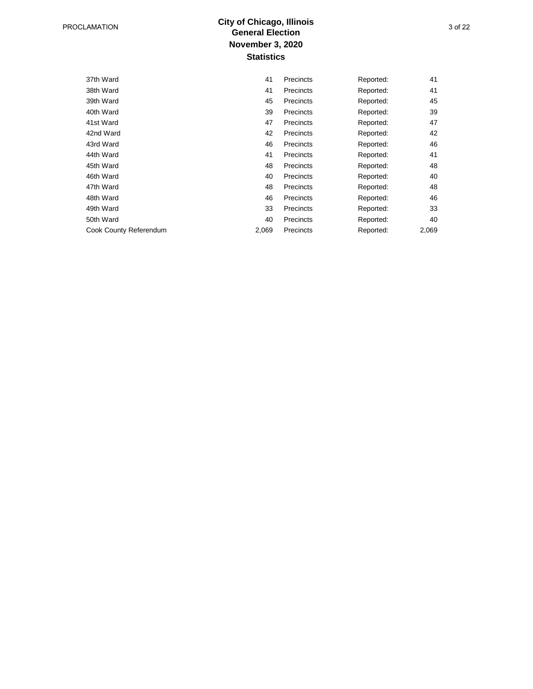## **City of Chicago, Illinois** PROCLAMATION 3 of 22 **November 3, 2020 Statistics**

| 37th Ward              | 41    | Precincts | Reported: | 41    |
|------------------------|-------|-----------|-----------|-------|
| 38th Ward              | 41    | Precincts | Reported: | 41    |
| 39th Ward              | 45    | Precincts | Reported: | 45    |
| 40th Ward              | 39    | Precincts | Reported: | 39    |
| 41st Ward              | 47    | Precincts | Reported: | 47    |
| 42nd Ward              | 42    | Precincts | Reported: | 42    |
| 43rd Ward              | 46    | Precincts | Reported: | 46    |
| 44th Ward              | 41    | Precincts | Reported: | 41    |
| 45th Ward              | 48    | Precincts | Reported: | 48    |
| 46th Ward              | 40    | Precincts | Reported: | 40    |
| 47th Ward              | 48    | Precincts | Reported: | 48    |
| 48th Ward              | 46    | Precincts | Reported: | 46    |
| 49th Ward              | 33    | Precincts | Reported: | 33    |
| 50th Ward              | 40    | Precincts | Reported: | 40    |
| Cook County Referendum | 2,069 | Precincts | Reported: | 2,069 |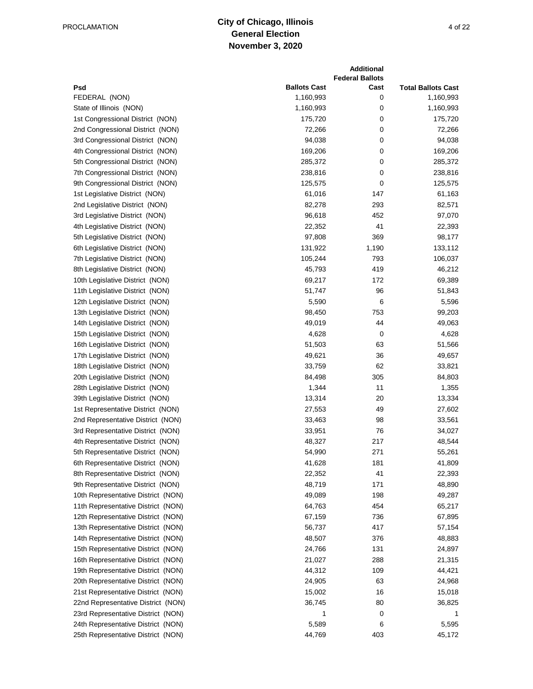#### **City of Chicago, Illinois General Election November 3, 2020** PROCLAMATION 4 of 22

|                                    |                     | <b>Additional</b><br><b>Federal Ballots</b> |                           |
|------------------------------------|---------------------|---------------------------------------------|---------------------------|
| Psd                                | <b>Ballots Cast</b> | Cast                                        | <b>Total Ballots Cast</b> |
| FEDERAL (NON)                      | 1,160,993           | 0                                           | 1,160,993                 |
| State of Illinois (NON)            | 1,160,993           | 0                                           | 1,160,993                 |
| 1st Congressional District (NON)   | 175,720             | 0                                           | 175,720                   |
| 2nd Congressional District (NON)   | 72,266              | 0                                           | 72,266                    |
| 3rd Congressional District (NON)   | 94,038              | 0                                           | 94,038                    |
| 4th Congressional District (NON)   | 169,206             | 0                                           | 169,206                   |
| 5th Congressional District (NON)   | 285,372             | 0                                           | 285,372                   |
| 7th Congressional District (NON)   | 238,816             | 0                                           | 238,816                   |
| 9th Congressional District (NON)   | 125,575             | 0                                           | 125,575                   |
| 1st Legislative District (NON)     | 61,016              | 147                                         | 61,163                    |
| 2nd Legislative District (NON)     | 82,278              | 293                                         | 82,571                    |
| 3rd Legislative District (NON)     | 96,618              | 452                                         | 97,070                    |
| 4th Legislative District (NON)     | 22,352              | 41                                          | 22,393                    |
| 5th Legislative District (NON)     | 97,808              | 369                                         | 98,177                    |
| 6th Legislative District (NON)     | 131,922             | 1,190                                       | 133,112                   |
| 7th Legislative District (NON)     | 105,244             | 793                                         | 106,037                   |
| 8th Legislative District (NON)     | 45,793              | 419                                         | 46,212                    |
| 10th Legislative District (NON)    | 69,217              | 172                                         | 69,389                    |
| 11th Legislative District (NON)    | 51,747              | 96                                          | 51,843                    |
| 12th Legislative District (NON)    | 5,590               | 6                                           | 5,596                     |
| 13th Legislative District (NON)    | 98,450              | 753                                         | 99,203                    |
| 14th Legislative District (NON)    | 49,019              | 44                                          | 49,063                    |
| 15th Legislative District (NON)    | 4,628               | 0                                           | 4,628                     |
| 16th Legislative District (NON)    | 51,503              | 63                                          | 51,566                    |
| 17th Legislative District (NON)    | 49,621              | 36                                          | 49,657                    |
| 18th Legislative District (NON)    | 33,759              | 62                                          | 33,821                    |
| 20th Legislative District (NON)    | 84,498              | 305                                         | 84,803                    |
| 28th Legislative District (NON)    | 1,344               | 11                                          | 1,355                     |
| 39th Legislative District (NON)    | 13,314              | 20                                          | 13,334                    |
| 1st Representative District (NON)  | 27,553              | 49                                          | 27,602                    |
| 2nd Representative District (NON)  | 33,463              | 98                                          | 33,561                    |
| 3rd Representative District (NON)  | 33,951              | 76                                          | 34,027                    |
| 4th Representative District (NON)  | 48,327              | 217                                         | 48,544                    |
| 5th Representative District (NON)  | 54,990              | 271                                         | 55,261                    |
| 6th Representative District (NON)  | 41,628              | 181                                         | 41,809                    |
| 8th Representative District (NON)  | 22,352              | 41                                          | 22,393                    |
| 9th Representative District (NON)  | 48,719              | 171                                         | 48,890                    |
| 10th Representative District (NON) | 49,089              | 198                                         | 49,287                    |
| 11th Representative District (NON) | 64,763              | 454                                         | 65,217                    |
| 12th Representative District (NON) | 67,159              | 736                                         | 67,895                    |
| 13th Representative District (NON) | 56,737              | 417                                         | 57,154                    |
| 14th Representative District (NON) | 48,507              | 376                                         | 48,883                    |
| 15th Representative District (NON) | 24,766              | 131                                         | 24,897                    |
| 16th Representative District (NON) | 21,027              | 288                                         | 21,315                    |
| 19th Representative District (NON) | 44,312              | 109                                         | 44,421                    |
| 20th Representative District (NON) | 24,905              | 63                                          | 24,968                    |
| 21st Representative District (NON) | 15,002              | 16                                          | 15,018                    |
| 22nd Representative District (NON) | 36,745              | 80                                          | 36,825                    |
| 23rd Representative District (NON) | 1                   | 0                                           |                           |
| 24th Representative District (NON) | 5,589               | 6                                           | 5,595                     |
| 25th Representative District (NON) | 44,769              | 403                                         | 45,172                    |
|                                    |                     |                                             |                           |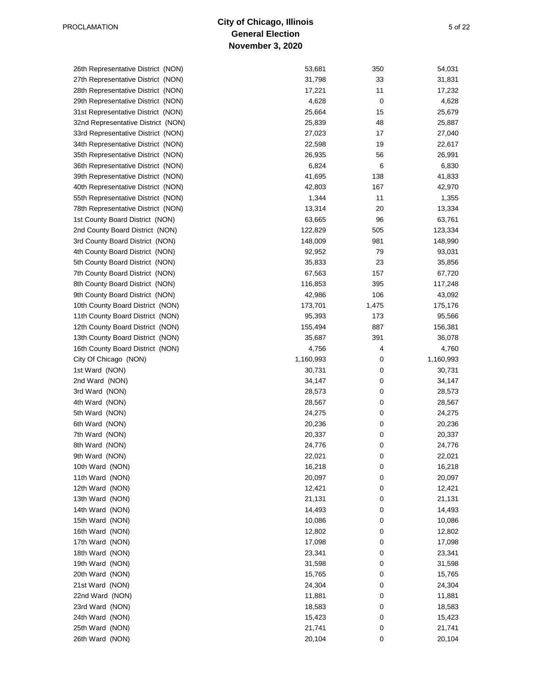#### **City of Chicago, Illinois General Election November 3, 2020** PROCLAMATION 5 of 22

24th Ward (NON) 25th Ward (NON) 26th Ward (NON) 21st Ward (NON) 22nd Ward (NON) 23rd Ward (NON) 18th Ward (NON) 19th Ward (NON) 20th Ward (NON) 15th Ward (NON) 16th Ward (NON) 17th Ward (NON) 12th Ward (NON) 13th Ward (NON) 14th Ward (NON) 9th Ward (NON) 10th Ward (NON) 11th Ward (NON) 6th Ward (NON) 7th Ward (NON) 8th Ward (NON) 3rd Ward (NON) 4th Ward (NON) 5th Ward (NON) City Of Chicago (NON) 1st Ward (NON) 2nd Ward (NON) 12th County Board District (NON) 13th County Board District (NON) 16th County Board District (NON) 9th County Board District (NON) 10th County Board District (NON) 11th County Board District (NON) 5th County Board District (NON) 7th County Board District (NON) 8th County Board District (NON) 2nd County Board District (NON) 3rd County Board District (NON) 4th County Board District (NON) 55th Representative District (NON) 78th Representative District (NON) 1st County Board District (NON) 36th Representative District (NON) 39th Representative District (NON) 40th Representative District (NON) 33rd Representative District (NON) 34th Representative District (NON) 35th Representative District (NON) 29th Representative District (NON) 31st Representative District (NON) 32nd Representative District (NON) 26th Representative District (NON) 27th Representative District (NON) 28th Representative District (NON)

| 53,681    | 350   | 54,031    |
|-----------|-------|-----------|
| 31,798    | 33    | 31,831    |
| 17,221    | 11    | 17,232    |
| 4,628     | 0     | 4,628     |
| 25,664    | 15    | 25,679    |
| 25,839    | 48    | 25,887    |
| 27,023    | 17    | 27,040    |
| 22,598    | 19    | 22,617    |
| 26,935    | 56    | 26,991    |
| 6,824     | 6     | 6,830     |
| 41,695    | 138   | 41,833    |
| 42,803    | 167   | 42,970    |
| 1,344     | 11    | 1,355     |
| 13,314    | 20    | 13,334    |
| 63,665    | 96    | 63,761    |
| 122,829   | 505   | 123,334   |
| 148,009   | 981   |           |
|           | 79    | 148,990   |
| 92,952    |       | 93,031    |
| 35,833    | 23    | 35,856    |
| 67,563    | 157   | 67,720    |
| 116,853   | 395   | 117,248   |
| 42,986    | 106   | 43,092    |
| 173,701   | 1,475 | 175,176   |
| 95,393    | 173   | 95,566    |
| 155,494   | 887   | 156,381   |
| 35,687    | 391   | 36,078    |
| 4,756     | 4     | 4,760     |
| 1,160,993 | 0     | 1,160,993 |
| 30,731    | 0     | 30,731    |
| 34,147    | 0     | 34,147    |
| 28,573    | 0     | 28,573    |
| 28,567    | 0     | 28,567    |
| 24,275    | 0     | 24,275    |
| 20,236    | 0     | 20,236    |
| 20,337    | 0     | 20,337    |
| 24,776    | 0     | 24,776    |
| 22,021    | 0     | 22,021    |
| 16,218    | 0     | 16,218    |
| 20,097    | 0     | 20,097    |
| 12,421    | 0     | 12,421    |
| 21,131    | 0     | 21,131    |
| 14,493    | 0     | 14,493    |
| 10,086    | 0     | 10,086    |
| 12,802    | 0     | 12,802    |
| 17,098    | 0     | 17,098    |
| 23,341    | 0     | 23,341    |
| 31,598    | 0     | 31,598    |
| 15,765    | 0     | 15,765    |
| 24,304    | 0     | 24,304    |
| 11,881    | 0     | 11,881    |
| 18,583    | 0     | 18,583    |
| 15,423    | 0     | 15,423    |
| 21,741    | 0     | 21,741    |
| 20,104    | 0     | 20,104    |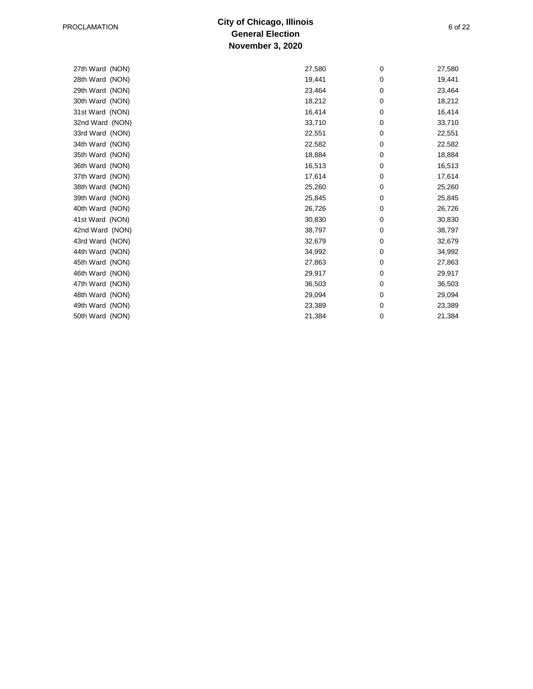#### **City of Chicago, Illinois General Election November 3, 2020** PROCLAMATION 6 of 22

| 27th Ward (NON) | 27,580 | 0 | 27,580 |
|-----------------|--------|---|--------|
| 28th Ward (NON) | 19,441 | 0 | 19,441 |
| 29th Ward (NON) | 23,464 | 0 | 23,464 |
| 30th Ward (NON) | 18,212 | 0 | 18,212 |
| 31st Ward (NON) | 16,414 | 0 | 16,414 |
| 32nd Ward (NON) | 33,710 | 0 | 33,710 |
| 33rd Ward (NON) | 22,551 | 0 | 22,551 |
| 34th Ward (NON) | 22,582 | 0 | 22,582 |
| 35th Ward (NON) | 18,884 | 0 | 18,884 |
| 36th Ward (NON) | 16,513 | 0 | 16,513 |
| 37th Ward (NON) | 17,614 | 0 | 17,614 |
| 38th Ward (NON) | 25,260 | 0 | 25,260 |
| 39th Ward (NON) | 25,845 | 0 | 25,845 |
| 40th Ward (NON) | 26,726 | 0 | 26,726 |
| 41st Ward (NON) | 30,830 | 0 | 30,830 |
| 42nd Ward (NON) | 38,797 | 0 | 38,797 |
| 43rd Ward (NON) | 32,679 | 0 | 32,679 |
| 44th Ward (NON) | 34,992 | 0 | 34,992 |
| 45th Ward (NON) | 27,863 | 0 | 27,863 |
| 46th Ward (NON) | 29,917 | 0 | 29,917 |
| 47th Ward (NON) | 36,503 | 0 | 36,503 |
| 48th Ward (NON) | 29,094 | 0 | 29,094 |
| 49th Ward (NON) | 23,389 | 0 | 23,389 |
| 50th Ward (NON) | 21,384 | 0 | 21,384 |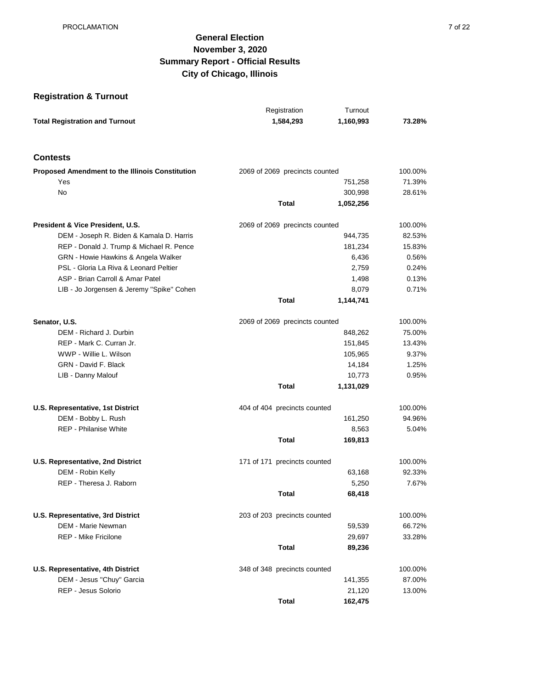## **General Election November 3, 2020 Summary Report - Official Results City of Chicago, Illinois**

## **Registration & Turnout**

| <b>Total Registration and Turnout</b><br>1,584,293<br>1,160,993<br>73.28%<br><b>Contests</b><br><b>Proposed Amendment to the Illinois Constitution</b><br>2069 of 2069 precincts counted<br>100.00%<br>71.39%<br>Yes<br>751,258<br>No<br>300,998<br>28.61%<br>Total<br>1,052,256<br>President & Vice President, U.S.<br>2069 of 2069 precincts counted<br>100.00%<br>DEM - Joseph R. Biden & Kamala D. Harris<br>944,735<br>82.53%<br>REP - Donald J. Trump & Michael R. Pence<br>181,234<br>15.83%<br>GRN - Howie Hawkins & Angela Walker<br>6,436<br>0.56%<br>PSL - Gloria La Riva & Leonard Peltier<br>2,759<br>0.24%<br>ASP - Brian Carroll & Amar Patel<br>0.13%<br>1,498 |                                           | Registration | Turnout |       |
|--------------------------------------------------------------------------------------------------------------------------------------------------------------------------------------------------------------------------------------------------------------------------------------------------------------------------------------------------------------------------------------------------------------------------------------------------------------------------------------------------------------------------------------------------------------------------------------------------------------------------------------------------------------------------------|-------------------------------------------|--------------|---------|-------|
|                                                                                                                                                                                                                                                                                                                                                                                                                                                                                                                                                                                                                                                                                |                                           |              |         |       |
|                                                                                                                                                                                                                                                                                                                                                                                                                                                                                                                                                                                                                                                                                |                                           |              |         |       |
|                                                                                                                                                                                                                                                                                                                                                                                                                                                                                                                                                                                                                                                                                |                                           |              |         |       |
|                                                                                                                                                                                                                                                                                                                                                                                                                                                                                                                                                                                                                                                                                |                                           |              |         |       |
|                                                                                                                                                                                                                                                                                                                                                                                                                                                                                                                                                                                                                                                                                |                                           |              |         |       |
|                                                                                                                                                                                                                                                                                                                                                                                                                                                                                                                                                                                                                                                                                |                                           |              |         |       |
|                                                                                                                                                                                                                                                                                                                                                                                                                                                                                                                                                                                                                                                                                |                                           |              |         |       |
|                                                                                                                                                                                                                                                                                                                                                                                                                                                                                                                                                                                                                                                                                |                                           |              |         |       |
|                                                                                                                                                                                                                                                                                                                                                                                                                                                                                                                                                                                                                                                                                |                                           |              |         |       |
|                                                                                                                                                                                                                                                                                                                                                                                                                                                                                                                                                                                                                                                                                |                                           |              |         |       |
|                                                                                                                                                                                                                                                                                                                                                                                                                                                                                                                                                                                                                                                                                |                                           |              |         |       |
|                                                                                                                                                                                                                                                                                                                                                                                                                                                                                                                                                                                                                                                                                |                                           |              |         |       |
|                                                                                                                                                                                                                                                                                                                                                                                                                                                                                                                                                                                                                                                                                |                                           |              |         |       |
|                                                                                                                                                                                                                                                                                                                                                                                                                                                                                                                                                                                                                                                                                | LIB - Jo Jorgensen & Jeremy "Spike" Cohen |              | 8,079   | 0.71% |
| Total<br>1,144,741                                                                                                                                                                                                                                                                                                                                                                                                                                                                                                                                                                                                                                                             |                                           |              |         |       |
| Senator, U.S.<br>2069 of 2069 precincts counted<br>100.00%                                                                                                                                                                                                                                                                                                                                                                                                                                                                                                                                                                                                                     |                                           |              |         |       |
| 75.00%<br>DEM - Richard J. Durbin<br>848,262                                                                                                                                                                                                                                                                                                                                                                                                                                                                                                                                                                                                                                   |                                           |              |         |       |
| REP - Mark C. Curran Jr.<br>151,845<br>13.43%                                                                                                                                                                                                                                                                                                                                                                                                                                                                                                                                                                                                                                  |                                           |              |         |       |
| WWP - Willie L. Wilson<br>105,965<br>9.37%                                                                                                                                                                                                                                                                                                                                                                                                                                                                                                                                                                                                                                     |                                           |              |         |       |
| GRN - David F. Black<br>1.25%<br>14,184                                                                                                                                                                                                                                                                                                                                                                                                                                                                                                                                                                                                                                        |                                           |              |         |       |
| 0.95%<br>LIB - Danny Malouf<br>10,773                                                                                                                                                                                                                                                                                                                                                                                                                                                                                                                                                                                                                                          |                                           |              |         |       |
| Total<br>1,131,029                                                                                                                                                                                                                                                                                                                                                                                                                                                                                                                                                                                                                                                             |                                           |              |         |       |
| U.S. Representative, 1st District<br>404 of 404 precincts counted<br>100.00%                                                                                                                                                                                                                                                                                                                                                                                                                                                                                                                                                                                                   |                                           |              |         |       |
| DEM - Bobby L. Rush<br>161,250<br>94.96%                                                                                                                                                                                                                                                                                                                                                                                                                                                                                                                                                                                                                                       |                                           |              |         |       |
| <b>REP - Philanise White</b><br>8,563<br>5.04%                                                                                                                                                                                                                                                                                                                                                                                                                                                                                                                                                                                                                                 |                                           |              |         |       |
| Total<br>169,813                                                                                                                                                                                                                                                                                                                                                                                                                                                                                                                                                                                                                                                               |                                           |              |         |       |
| 171 of 171 precincts counted<br>U.S. Representative, 2nd District<br>100.00%                                                                                                                                                                                                                                                                                                                                                                                                                                                                                                                                                                                                   |                                           |              |         |       |
| DEM - Robin Kelly<br>92.33%<br>63,168                                                                                                                                                                                                                                                                                                                                                                                                                                                                                                                                                                                                                                          |                                           |              |         |       |
| REP - Theresa J. Raborn<br>5,250<br>7.67%                                                                                                                                                                                                                                                                                                                                                                                                                                                                                                                                                                                                                                      |                                           |              |         |       |
| Total<br>68,418                                                                                                                                                                                                                                                                                                                                                                                                                                                                                                                                                                                                                                                                |                                           |              |         |       |
| <b>U.S. Representative, 3rd District</b><br>203 of 203 precincts counted<br>100.00%                                                                                                                                                                                                                                                                                                                                                                                                                                                                                                                                                                                            |                                           |              |         |       |
| DEM - Marie Newman<br>59,539<br>66.72%                                                                                                                                                                                                                                                                                                                                                                                                                                                                                                                                                                                                                                         |                                           |              |         |       |
| <b>REP - Mike Fricilone</b><br>29,697<br>33.28%                                                                                                                                                                                                                                                                                                                                                                                                                                                                                                                                                                                                                                |                                           |              |         |       |
| <b>Total</b><br>89,236                                                                                                                                                                                                                                                                                                                                                                                                                                                                                                                                                                                                                                                         |                                           |              |         |       |
| U.S. Representative, 4th District<br>348 of 348 precincts counted<br>100.00%                                                                                                                                                                                                                                                                                                                                                                                                                                                                                                                                                                                                   |                                           |              |         |       |
| DEM - Jesus "Chuy" Garcia<br>141,355<br>87.00%                                                                                                                                                                                                                                                                                                                                                                                                                                                                                                                                                                                                                                 |                                           |              |         |       |
| REP - Jesus Solorio<br>21,120<br>13.00%                                                                                                                                                                                                                                                                                                                                                                                                                                                                                                                                                                                                                                        |                                           |              |         |       |
| <b>Total</b><br>162,475                                                                                                                                                                                                                                                                                                                                                                                                                                                                                                                                                                                                                                                        |                                           |              |         |       |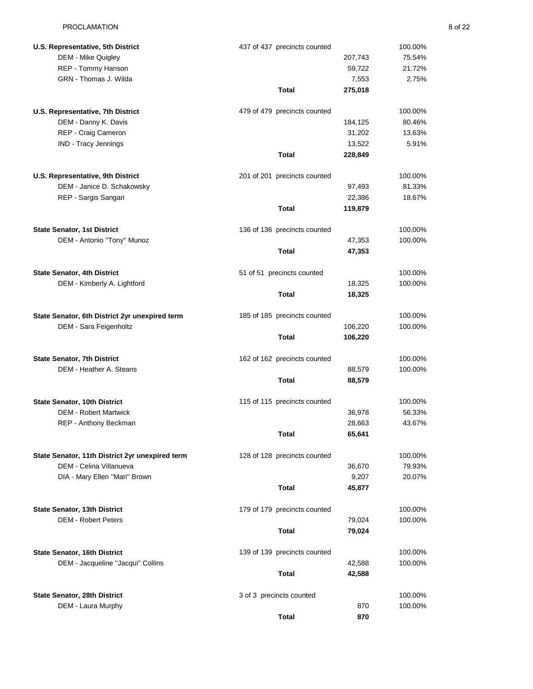| U.S. Representative, 5th District               | 437 of 437 precincts counted | 100.00%           |
|-------------------------------------------------|------------------------------|-------------------|
| DEM - Mike Quigley                              | 207,743                      | 75.54%            |
| REP - Tommy Hanson                              |                              | 59,722<br>21.72%  |
| GRN - Thomas J. Wilda                           |                              | 7,553<br>2.75%    |
|                                                 | Total<br>275,018             |                   |
| U.S. Representative, 7th District               | 479 of 479 precincts counted | 100.00%           |
| DEM - Danny K. Davis                            | 184,125                      | 80.46%            |
| REP - Craig Cameron                             |                              | 31,202<br>13.63%  |
| IND - Tracy Jennings                            |                              | 13,522<br>5.91%   |
|                                                 | <b>Total</b><br>228,849      |                   |
| U.S. Representative, 9th District               | 201 of 201 precincts counted | 100.00%           |
| DEM - Janice D. Schakowsky                      |                              | 97,493<br>81.33%  |
| REP - Sargis Sangari                            |                              | 22,386<br>18.67%  |
|                                                 | <b>Total</b><br>119,879      |                   |
| <b>State Senator, 1st District</b>              | 136 of 136 precincts counted | 100.00%           |
| DEM - Antonio "Tony" Munoz                      |                              | 47,353<br>100.00% |
|                                                 | <b>Total</b>                 | 47,353            |
| <b>State Senator, 4th District</b>              | 51 of 51 precincts counted   | 100.00%           |
| DEM - Kimberly A. Lightford                     |                              | 18,325<br>100.00% |
|                                                 | <b>Total</b>                 | 18,325            |
| State Senator, 6th District 2yr unexpired term  | 185 of 185 precincts counted | 100.00%           |
| DEM - Sara Feigenholtz                          | 106,220                      | 100.00%           |
|                                                 | <b>Total</b><br>106,220      |                   |
| <b>State Senator, 7th District</b>              | 162 of 162 precincts counted | 100.00%           |
| DEM - Heather A. Steans                         |                              | 88,579<br>100.00% |
|                                                 | <b>Total</b>                 | 88,579            |
| State Senator, 10th District                    | 115 of 115 precincts counted | 100.00%           |
| <b>DEM - Robert Martwick</b>                    |                              | 56.33%<br>36,978  |
| REP - Anthony Beckman                           |                              | 43.67%<br>28,663  |
|                                                 | Total                        | 65,641            |
| State Senator, 11th District 2yr unexpired term | 128 of 128 precincts counted | 100.00%           |
| DEM - Celina Villanueva                         |                              | 79.93%<br>36,670  |
| DIA - Mary Ellen "Mari" Brown                   |                              | 9,207<br>20.07%   |
|                                                 | Total                        | 45,877            |
| <b>State Senator, 13th District</b>             | 179 of 179 precincts counted | 100.00%           |
| <b>DEM - Robert Peters</b>                      |                              | 79,024<br>100.00% |
|                                                 | Total                        | 79,024            |
| <b>State Senator, 16th District</b>             | 139 of 139 precincts counted | 100.00%           |
| DEM - Jacqueline "Jacqui" Collins               |                              | 42,588<br>100.00% |
|                                                 | Total                        | 42,588            |
| State Senator, 28th District                    | 3 of 3 precincts counted     | 100.00%           |
| DEM - Laura Murphy                              |                              | 870<br>100.00%    |
|                                                 | <b>Total</b>                 | 870               |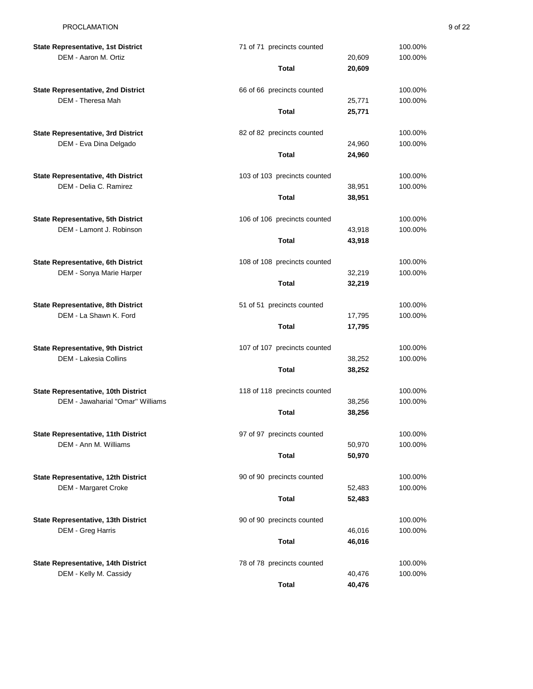| <b>State Representative, 1st District</b>  | 71 of 71 precincts counted   |        | 100.00% |
|--------------------------------------------|------------------------------|--------|---------|
| DEM - Aaron M. Ortiz                       |                              | 20,609 | 100.00% |
|                                            | <b>Total</b>                 | 20,609 |         |
| <b>State Representative, 2nd District</b>  | 66 of 66 precincts counted   |        | 100.00% |
| DEM - Theresa Mah                          |                              | 25,771 | 100.00% |
|                                            | Total                        | 25,771 |         |
| <b>State Representative, 3rd District</b>  | 82 of 82 precincts counted   |        | 100.00% |
| DEM - Eva Dina Delgado                     |                              | 24,960 | 100.00% |
|                                            | <b>Total</b>                 | 24,960 |         |
| State Representative, 4th District         | 103 of 103 precincts counted |        | 100.00% |
| DEM - Delia C. Ramirez                     |                              | 38,951 | 100.00% |
|                                            | <b>Total</b>                 | 38,951 |         |
| <b>State Representative, 5th District</b>  | 106 of 106 precincts counted |        | 100.00% |
| DEM - Lamont J. Robinson                   |                              | 43,918 | 100.00% |
|                                            | <b>Total</b>                 | 43,918 |         |
| State Representative, 6th District         | 108 of 108 precincts counted |        | 100.00% |
| DEM - Sonya Marie Harper                   |                              | 32,219 | 100.00% |
|                                            | <b>Total</b>                 | 32,219 |         |
| State Representative, 8th District         | 51 of 51 precincts counted   |        | 100.00% |
| DEM - La Shawn K. Ford                     |                              | 17,795 | 100.00% |
|                                            | <b>Total</b>                 | 17,795 |         |
| <b>State Representative, 9th District</b>  | 107 of 107 precincts counted |        | 100.00% |
| DEM - Lakesia Collins                      |                              | 38,252 | 100.00% |
|                                            | Total                        | 38,252 |         |
| State Representative, 10th District        | 118 of 118 precincts counted |        | 100.00% |
| DEM - Jawaharial "Omar" Williams           |                              | 38,256 | 100.00% |
|                                            | Total                        | 38,256 |         |
| <b>State Representative, 11th District</b> | 97 of 97 precincts counted   |        | 100.00% |
| DEM - Ann M. Williams                      |                              | 50,970 | 100.00% |
|                                            | <b>Total</b>                 | 50,970 |         |
| State Representative, 12th District        | 90 of 90 precincts counted   |        | 100.00% |
| <b>DEM - Margaret Croke</b>                |                              | 52,483 | 100.00% |
|                                            | <b>Total</b>                 | 52,483 |         |
| State Representative, 13th District        | 90 of 90 precincts counted   |        | 100.00% |
| DEM - Greg Harris                          |                              | 46,016 | 100.00% |
|                                            | Total                        | 46,016 |         |
| State Representative, 14th District        | 78 of 78 precincts counted   |        | 100.00% |
| DEM - Kelly M. Cassidy                     |                              | 40,476 | 100.00% |
|                                            | <b>Total</b>                 | 40,476 |         |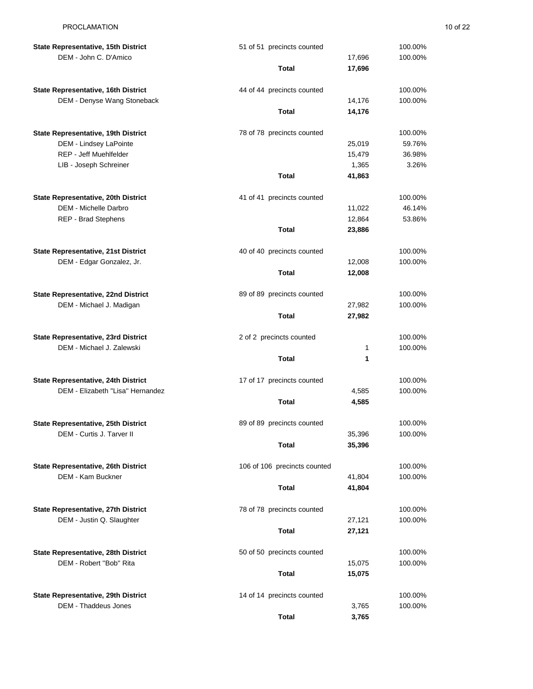| State Representative, 15th District                                | 51 of 51 precincts counted   |        | 100.00%            |
|--------------------------------------------------------------------|------------------------------|--------|--------------------|
| DEM - John C. D'Amico                                              |                              | 17,696 | 100.00%            |
|                                                                    | Total                        | 17,696 |                    |
| State Representative, 16th District                                | 44 of 44 precincts counted   |        | 100.00%            |
| DEM - Denyse Wang Stoneback                                        |                              | 14,176 | 100.00%            |
|                                                                    | Total                        | 14,176 |                    |
| State Representative, 19th District                                | 78 of 78 precincts counted   |        | 100.00%            |
| DEM - Lindsey LaPointe                                             |                              | 25,019 | 59.76%             |
| REP - Jeff Muehlfelder                                             |                              | 15,479 | 36.98%             |
| LIB - Joseph Schreiner                                             |                              | 1,365  | 3.26%              |
|                                                                    | Total                        | 41,863 |                    |
|                                                                    |                              |        |                    |
| State Representative, 20th District                                | 41 of 41 precincts counted   |        | 100.00%            |
| DEM - Michelle Darbro                                              |                              | 11,022 | 46.14%             |
| <b>REP - Brad Stephens</b>                                         |                              | 12,864 | 53.86%             |
|                                                                    | <b>Total</b>                 | 23,886 |                    |
| <b>State Representative, 21st District</b>                         | 40 of 40 precincts counted   |        | 100.00%            |
| DEM - Edgar Gonzalez, Jr.                                          |                              | 12,008 | 100.00%            |
|                                                                    | <b>Total</b>                 | 12,008 |                    |
|                                                                    |                              |        |                    |
| State Representative, 22nd District                                | 89 of 89 precincts counted   |        | 100.00%            |
| DEM - Michael J. Madigan                                           |                              | 27,982 | 100.00%            |
|                                                                    | Total                        | 27,982 |                    |
| <b>State Representative, 23rd District</b>                         | 2 of 2 precincts counted     |        | 100.00%            |
| DEM - Michael J. Zalewski                                          |                              | 1      | 100.00%            |
|                                                                    | <b>Total</b>                 | 1      |                    |
|                                                                    |                              |        |                    |
| State Representative, 24th District                                | 17 of 17 precincts counted   |        | 100.00%            |
| DEM - Elizabeth "Lisa" Hernandez                                   |                              | 4,585  | 100.00%            |
|                                                                    | Total                        | 4,585  |                    |
| State Representative, 25th District                                | 89 of 89 precincts counted   |        | 100.00%            |
| DEM - Curtis J. Tarver II                                          |                              | 35,396 | 100.00%            |
|                                                                    | Total                        | 35,396 |                    |
| State Representative, 26th District                                | 106 of 106 precincts counted |        | 100.00%            |
| <b>DEM - Kam Buckner</b>                                           |                              | 41,804 | 100.00%            |
|                                                                    | Total                        |        |                    |
|                                                                    |                              | 41,804 |                    |
|                                                                    |                              |        |                    |
| State Representative, 27th District                                | 78 of 78 precincts counted   |        | 100.00%            |
| DEM - Justin Q. Slaughter                                          |                              | 27,121 | 100.00%            |
|                                                                    | <b>Total</b>                 | 27,121 |                    |
| State Representative, 28th District                                | 50 of 50 precincts counted   |        | 100.00%            |
| DEM - Robert "Bob" Rita                                            |                              | 15,075 | 100.00%            |
|                                                                    | Total                        | 15,075 |                    |
|                                                                    |                              |        |                    |
| State Representative, 29th District<br><b>DEM - Thaddeus Jones</b> | 14 of 14 precincts counted   | 3,765  | 100.00%<br>100.00% |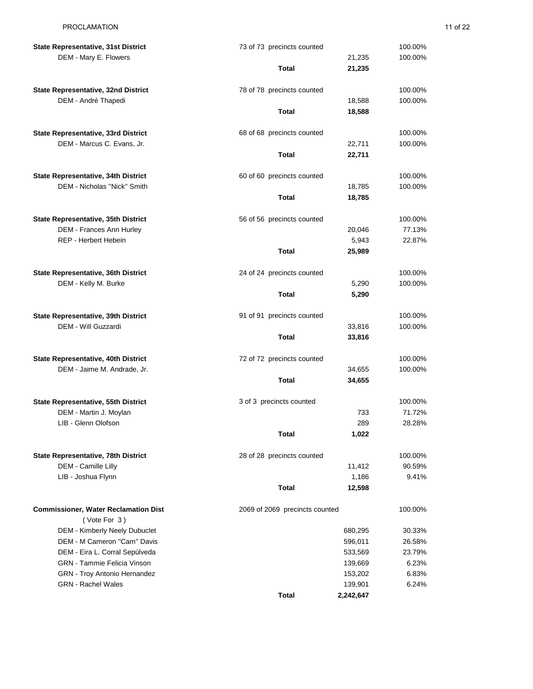| <b>State Representative, 31st District</b>                         | 73 of 73 precincts counted     |           | 100.00% |
|--------------------------------------------------------------------|--------------------------------|-----------|---------|
| DEM - Mary E. Flowers                                              |                                | 21,235    | 100.00% |
|                                                                    | Total                          | 21,235    |         |
| State Representative, 32nd District                                | 78 of 78 precincts counted     |           | 100.00% |
| DEM - André Thapedi                                                |                                | 18,588    | 100.00% |
|                                                                    | <b>Total</b>                   | 18,588    |         |
| State Representative, 33rd District                                | 68 of 68 precincts counted     |           | 100.00% |
| DEM - Marcus C. Evans, Jr.                                         |                                | 22,711    | 100.00% |
|                                                                    | <b>Total</b>                   | 22,711    |         |
| State Representative, 34th District                                | 60 of 60 precincts counted     |           | 100.00% |
| DEM - Nicholas "Nick" Smith                                        |                                | 18,785    | 100.00% |
|                                                                    | <b>Total</b>                   | 18,785    |         |
|                                                                    |                                |           |         |
| State Representative, 35th District                                | 56 of 56 precincts counted     |           | 100.00% |
| DEM - Frances Ann Hurley                                           |                                | 20,046    | 77.13%  |
| REP - Herbert Hebein                                               |                                | 5,943     | 22.87%  |
|                                                                    | <b>Total</b>                   | 25,989    |         |
| State Representative, 36th District                                | 24 of 24 precincts counted     |           | 100.00% |
| DEM - Kelly M. Burke                                               |                                | 5,290     | 100.00% |
|                                                                    | <b>Total</b>                   | 5,290     |         |
| State Representative, 39th District                                | 91 of 91 precincts counted     |           | 100.00% |
| DEM - Will Guzzardi                                                |                                | 33,816    | 100.00% |
|                                                                    | <b>Total</b>                   | 33,816    |         |
|                                                                    |                                |           | 100.00% |
| State Representative, 40th District<br>DEM - Jaime M. Andrade, Jr. | 72 of 72 precincts counted     | 34,655    | 100.00% |
|                                                                    | Total                          | 34,655    |         |
|                                                                    |                                |           |         |
| <b>State Representative, 55th District</b>                         | 3 of 3 precincts counted       |           | 100.00% |
| DEM - Martin J. Moylan                                             |                                | 733       | 71.72%  |
| LIB - Glenn Olofson                                                |                                | 289       | 28.28%  |
|                                                                    | Total                          | 1,022     |         |
| State Representative, 78th District                                | 28 of 28 precincts counted     |           | 100.00% |
| DEM - Camille Lilly                                                |                                | 11,412    | 90.59%  |
| LIB - Joshua Flynn                                                 |                                | 1,186     | 9.41%   |
|                                                                    | <b>Total</b>                   | 12,598    |         |
| <b>Commissioner, Water Reclamation Dist</b>                        | 2069 of 2069 precincts counted |           | 100.00% |
| (Vote For 3)                                                       |                                |           |         |
| DEM - Kimberly Neely Dubuclet                                      |                                | 680,295   | 30.33%  |
| DEM - M Cameron "Cam" Davis                                        |                                | 596,011   | 26.58%  |
| DEM - Eira L. Corral Sepúlveda                                     |                                | 533,569   | 23.79%  |
| <b>GRN</b> - Tammie Felicia Vinson                                 |                                | 139,669   | 6.23%   |
| <b>GRN</b> - Troy Antonio Hernandez                                |                                | 153,202   | 6.83%   |
| <b>GRN</b> - Rachel Wales                                          |                                | 139,901   | 6.24%   |
|                                                                    | <b>Total</b>                   | 2,242,647 |         |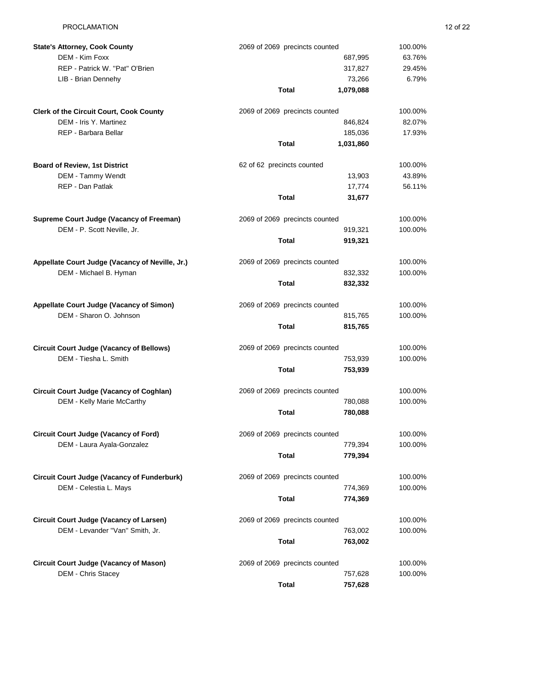| <b>State's Attorney, Cook County</b>                                         | 2069 of 2069 precincts counted |                    | 100.00% |
|------------------------------------------------------------------------------|--------------------------------|--------------------|---------|
| DEM - Kim Foxx                                                               |                                | 687,995            | 63.76%  |
| REP - Patrick W. "Pat" O'Brien                                               |                                | 317,827            | 29.45%  |
| LIB - Brian Dennehy                                                          |                                | 73,266             | 6.79%   |
|                                                                              | <b>Total</b>                   | 1,079,088          |         |
| <b>Clerk of the Circuit Court, Cook County</b>                               | 2069 of 2069 precincts counted |                    | 100.00% |
| DEM - Iris Y. Martinez                                                       |                                | 846,824            | 82.07%  |
| REP - Barbara Bellar                                                         |                                | 185,036            | 17.93%  |
|                                                                              | <b>Total</b>                   | 1,031,860          |         |
|                                                                              |                                |                    |         |
| <b>Board of Review, 1st District</b>                                         | 62 of 62 precincts counted     |                    | 100.00% |
| DEM - Tammy Wendt                                                            |                                | 13,903             | 43.89%  |
| REP - Dan Patlak                                                             |                                | 17,774             | 56.11%  |
|                                                                              | <b>Total</b>                   | 31,677             |         |
| Supreme Court Judge (Vacancy of Freeman)                                     | 2069 of 2069 precincts counted |                    | 100.00% |
| DEM - P. Scott Neville, Jr.                                                  |                                | 919,321            | 100.00% |
|                                                                              | Total                          | 919,321            |         |
| Appellate Court Judge (Vacancy of Neville, Jr.)                              | 2069 of 2069 precincts counted |                    | 100.00% |
| DEM - Michael B. Hyman                                                       |                                | 832,332            | 100.00% |
|                                                                              | <b>Total</b>                   | 832,332            |         |
| Appellate Court Judge (Vacancy of Simon)                                     | 2069 of 2069 precincts counted |                    | 100.00% |
| DEM - Sharon O. Johnson                                                      |                                | 815,765            | 100.00% |
|                                                                              | <b>Total</b>                   | 815,765            |         |
|                                                                              |                                |                    |         |
| <b>Circuit Court Judge (Vacancy of Bellows)</b>                              | 2069 of 2069 precincts counted |                    | 100.00% |
| DEM - Tiesha L. Smith                                                        |                                | 753,939            | 100.00% |
|                                                                              | <b>Total</b>                   | 753,939            |         |
| <b>Circuit Court Judge (Vacancy of Coghlan)</b>                              | 2069 of 2069 precincts counted |                    | 100.00% |
| DEM - Kelly Marie McCarthy                                                   |                                | 780,088            | 100.00% |
|                                                                              | <b>Total</b>                   | 780,088            |         |
| <b>Circuit Court Judge (Vacancy of Ford)</b>                                 | 2069 of 2069 precincts counted |                    | 100.00% |
| DEM - Laura Ayala-Gonzalez                                                   |                                | 779,394            | 100.00% |
|                                                                              | <b>Total</b>                   | 779,394            |         |
|                                                                              |                                |                    | 100.00% |
| <b>Circuit Court Judge (Vacancy of Funderburk)</b><br>DEM - Celestia L. Mays | 2069 of 2069 precincts counted |                    | 100.00% |
|                                                                              | <b>Total</b>                   | 774,369<br>774,369 |         |
|                                                                              |                                |                    |         |
| Circuit Court Judge (Vacancy of Larsen)                                      | 2069 of 2069 precincts counted |                    | 100.00% |
| DEM - Levander "Van" Smith, Jr.                                              |                                | 763,002            | 100.00% |
|                                                                              | <b>Total</b>                   | 763,002            |         |
| <b>Circuit Court Judge (Vacancy of Mason)</b>                                | 2069 of 2069 precincts counted |                    | 100.00% |
| DEM - Chris Stacey                                                           |                                | 757,628            | 100.00% |
|                                                                              | <b>Total</b>                   | 757,628            |         |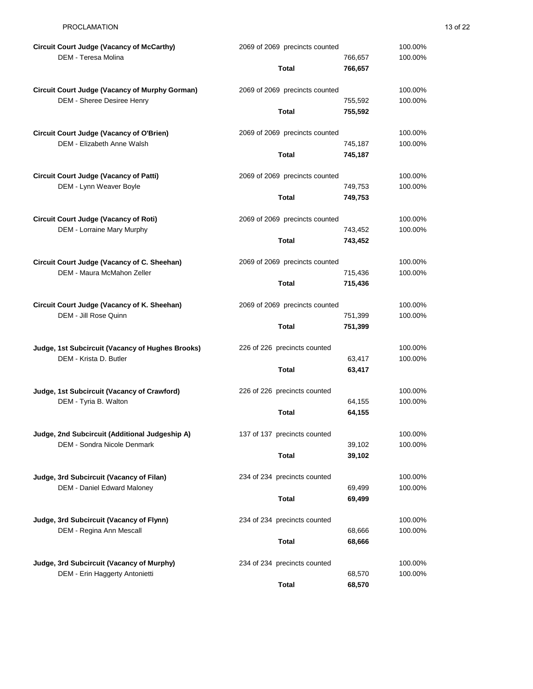| <b>Circuit Court Judge (Vacancy of McCarthy)</b>      | 2069 of 2069 precincts counted |                  | 100.00% |
|-------------------------------------------------------|--------------------------------|------------------|---------|
| DEM - Teresa Molina                                   |                                | 766,657          | 100.00% |
|                                                       | <b>Total</b>                   | 766,657          |         |
| <b>Circuit Court Judge (Vacancy of Murphy Gorman)</b> | 2069 of 2069 precincts counted |                  | 100.00% |
| DEM - Sheree Desiree Henry                            |                                | 755,592          | 100.00% |
|                                                       | <b>Total</b>                   | 755,592          |         |
| <b>Circuit Court Judge (Vacancy of O'Brien)</b>       | 2069 of 2069 precincts counted |                  | 100.00% |
| DEM - Elizabeth Anne Walsh                            |                                | 745,187          | 100.00% |
|                                                       | <b>Total</b>                   | 745,187          |         |
| <b>Circuit Court Judge (Vacancy of Patti)</b>         | 2069 of 2069 precincts counted |                  | 100.00% |
| DEM - Lynn Weaver Boyle                               |                                | 749,753          | 100.00% |
|                                                       | <b>Total</b>                   | 749,753          |         |
|                                                       |                                |                  |         |
| <b>Circuit Court Judge (Vacancy of Roti)</b>          | 2069 of 2069 precincts counted |                  | 100.00% |
| DEM - Lorraine Mary Murphy                            |                                | 743,452          | 100.00% |
|                                                       | <b>Total</b>                   | 743,452          |         |
| Circuit Court Judge (Vacancy of C. Sheehan)           | 2069 of 2069 precincts counted |                  | 100.00% |
| DEM - Maura McMahon Zeller                            |                                | 715,436          | 100.00% |
|                                                       | <b>Total</b>                   | 715,436          |         |
| Circuit Court Judge (Vacancy of K. Sheehan)           | 2069 of 2069 precincts counted |                  | 100.00% |
| DEM - Jill Rose Quinn                                 |                                | 751,399          | 100.00% |
|                                                       | <b>Total</b>                   | 751,399          |         |
| Judge, 1st Subcircuit (Vacancy of Hughes Brooks)      | 226 of 226 precincts counted   |                  | 100.00% |
| DEM - Krista D. Butler                                |                                | 63,417           | 100.00% |
|                                                       | <b>Total</b>                   | 63,417           |         |
|                                                       |                                |                  |         |
| Judge, 1st Subcircuit (Vacancy of Crawford)           | 226 of 226 precincts counted   |                  | 100.00% |
| DEM - Tyria B. Walton                                 | <b>Total</b>                   | 64,155<br>64,155 | 100.00% |
|                                                       |                                |                  |         |
| Judge, 2nd Subcircuit (Additional Judgeship A)        | 137 of 137 precincts counted   |                  | 100.00% |
| <b>DEM - Sondra Nicole Denmark</b>                    |                                | 39,102           | 100.00% |
|                                                       | <b>Total</b>                   | 39,102           |         |
| Judge, 3rd Subcircuit (Vacancy of Filan)              | 234 of 234 precincts counted   |                  | 100.00% |
| DEM - Daniel Edward Maloney                           |                                | 69,499           | 100.00% |
|                                                       | <b>Total</b>                   | 69,499           |         |
| Judge, 3rd Subcircuit (Vacancy of Flynn)              | 234 of 234 precincts counted   |                  | 100.00% |
| DEM - Regina Ann Mescall                              |                                | 68,666           | 100.00% |
|                                                       | <b>Total</b>                   | 68,666           |         |
|                                                       |                                |                  |         |
| Judge, 3rd Subcircuit (Vacancy of Murphy)             | 234 of 234 precincts counted   |                  | 100.00% |
| DEM - Erin Haggerty Antonietti                        | <b>Total</b>                   | 68,570           | 100.00% |
|                                                       |                                | 68,570           |         |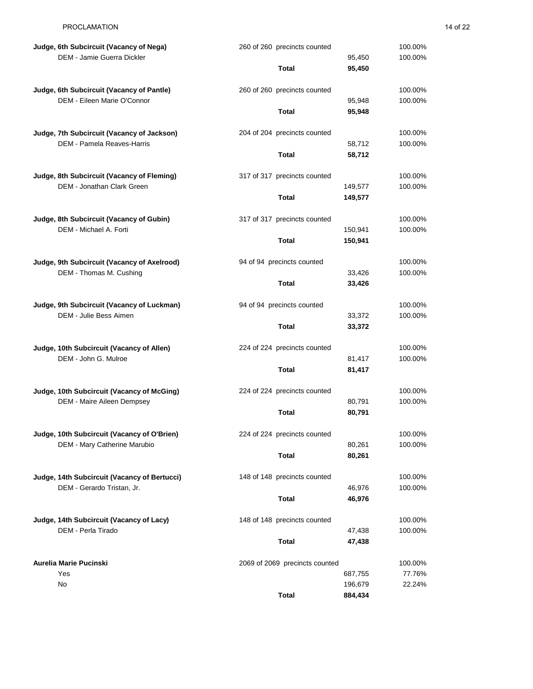| Judge, 6th Subcircuit (Vacancy of Nega)      | 260 of 260 precincts counted   |                    | 100.00%           |
|----------------------------------------------|--------------------------------|--------------------|-------------------|
| DEM - Jamie Guerra Dickler                   |                                | 95,450             | 100.00%           |
|                                              | <b>Total</b>                   | 95,450             |                   |
| Judge, 6th Subcircuit (Vacancy of Pantle)    | 260 of 260 precincts counted   |                    | 100.00%           |
| DEM - Eileen Marie O'Connor                  |                                | 95,948             | 100.00%           |
|                                              | <b>Total</b>                   | 95,948             |                   |
|                                              |                                |                    |                   |
| Judge, 7th Subcircuit (Vacancy of Jackson)   | 204 of 204 precincts counted   |                    | 100.00%           |
| DEM - Pamela Reaves-Harris                   |                                | 58,712             | 100.00%           |
|                                              | <b>Total</b>                   | 58,712             |                   |
| Judge, 8th Subcircuit (Vacancy of Fleming)   | 317 of 317 precincts counted   |                    | 100.00%           |
| DEM - Jonathan Clark Green                   |                                | 149,577            | 100.00%           |
|                                              | <b>Total</b>                   | 149,577            |                   |
|                                              |                                |                    |                   |
| Judge, 8th Subcircuit (Vacancy of Gubin)     | 317 of 317 precincts counted   |                    | 100.00%           |
| DEM - Michael A. Forti                       |                                | 150,941            | 100.00%           |
|                                              | <b>Total</b>                   | 150,941            |                   |
| Judge, 9th Subcircuit (Vacancy of Axelrood)  | 94 of 94 precincts counted     |                    | 100.00%           |
| DEM - Thomas M. Cushing                      |                                | 33,426             | 100.00%           |
|                                              | <b>Total</b>                   | 33,426             |                   |
|                                              |                                |                    |                   |
| Judge, 9th Subcircuit (Vacancy of Luckman)   | 94 of 94 precincts counted     |                    | 100.00%           |
| DEM - Julie Bess Aimen                       |                                | 33,372             | 100.00%           |
|                                              | <b>Total</b>                   | 33,372             |                   |
| Judge, 10th Subcircuit (Vacancy of Allen)    | 224 of 224 precincts counted   |                    | 100.00%           |
| DEM - John G. Mulroe                         |                                | 81,417             | 100.00%           |
|                                              | <b>Total</b>                   | 81,417             |                   |
|                                              |                                |                    |                   |
| Judge, 10th Subcircuit (Vacancy of McGing)   | 224 of 224 precincts counted   |                    | 100.00%           |
| DEM - Maire Aileen Dempsey                   |                                | 80,791             | 100.00%           |
|                                              | <b>Total</b>                   | 80,791             |                   |
| Judge, 10th Subcircuit (Vacancy of O'Brien)  | 224 of 224 precincts counted   |                    | 100.00%           |
| DEM - Mary Catherine Marubio                 |                                | 80,261             | 100.00%           |
|                                              | <b>Total</b>                   | 80,261             |                   |
|                                              |                                |                    |                   |
| Judge, 14th Subcircuit (Vacancy of Bertucci) | 148 of 148 precincts counted   |                    | 100.00%           |
| DEM - Gerardo Tristan, Jr.                   |                                | 46,976             | 100.00%           |
|                                              | <b>Total</b>                   | 46,976             |                   |
| Judge, 14th Subcircuit (Vacancy of Lacy)     | 148 of 148 precincts counted   |                    | 100.00%           |
| DEM - Perla Tirado                           |                                | 47,438             | 100.00%           |
|                                              | <b>Total</b>                   | 47,438             |                   |
|                                              |                                |                    |                   |
| Aurelia Marie Pucinski<br>Yes                | 2069 of 2069 precincts counted |                    | 100.00%<br>77.76% |
| No                                           |                                | 687,755<br>196,679 | 22.24%            |
|                                              | <b>Total</b>                   | 884,434            |                   |
|                                              |                                |                    |                   |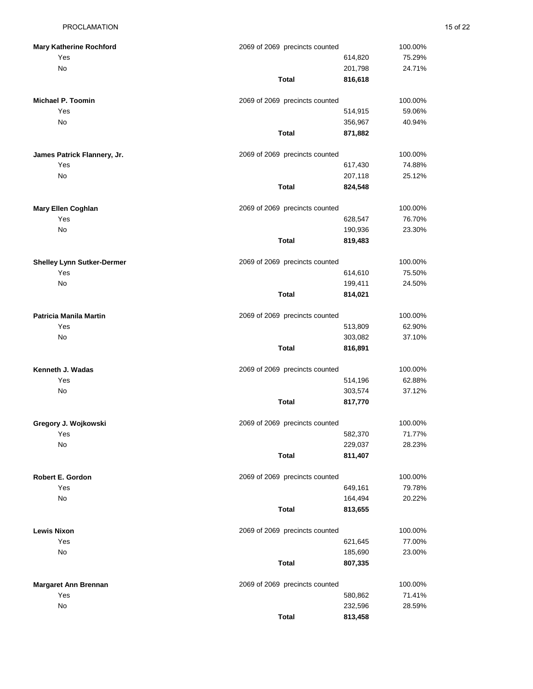| <b>Mary Katherine Rochford</b><br>Yes | 2069 of 2069 precincts counted | 614,820            | 100.00%<br>75.29% |
|---------------------------------------|--------------------------------|--------------------|-------------------|
| No                                    | Total                          | 201,798<br>816,618 | 24.71%            |
|                                       |                                |                    |                   |
| <b>Michael P. Toomin</b>              | 2069 of 2069 precincts counted |                    | 100.00%           |
| Yes                                   |                                | 514,915            | 59.06%            |
| No                                    |                                | 356,967            | 40.94%            |
|                                       | <b>Total</b>                   | 871,882            |                   |
| James Patrick Flannery, Jr.           | 2069 of 2069 precincts counted |                    | 100.00%           |
| Yes                                   |                                | 617,430            | 74.88%            |
| No                                    |                                | 207,118            | 25.12%            |
|                                       | <b>Total</b>                   | 824,548            |                   |
| <b>Mary Ellen Coghlan</b>             | 2069 of 2069 precincts counted |                    | 100.00%           |
| Yes                                   |                                | 628,547            | 76.70%            |
| No                                    |                                | 190,936            | 23.30%            |
|                                       | <b>Total</b>                   | 819,483            |                   |
| <b>Shelley Lynn Sutker-Dermer</b>     | 2069 of 2069 precincts counted |                    | 100.00%           |
| Yes                                   |                                | 614,610            | 75.50%            |
| No                                    |                                | 199,411            | 24.50%            |
|                                       | <b>Total</b>                   | 814,021            |                   |
| Patricia Manila Martin                | 2069 of 2069 precincts counted |                    | 100.00%           |
| Yes                                   |                                | 513,809            | 62.90%            |
| No                                    |                                | 303,082            | 37.10%            |
|                                       | <b>Total</b>                   | 816,891            |                   |
| Kenneth J. Wadas                      | 2069 of 2069 precincts counted |                    | 100.00%           |
| Yes                                   |                                | 514,196            | 62.88%            |
| No                                    |                                | 303,574            | 37.12%            |
|                                       | <b>Total</b>                   | 817,770            |                   |
| Gregory J. Wojkowski                  | 2069 of 2069 precincts counted |                    | 100.00%           |
| Yes                                   |                                | 582,370            | 71.77%            |
| No                                    |                                | 229,037            | 28.23%            |
|                                       | <b>Total</b>                   | 811,407            |                   |
| Robert E. Gordon                      | 2069 of 2069 precincts counted |                    | 100.00%           |
| Yes                                   |                                | 649,161            | 79.78%            |
| No                                    |                                | 164,494            | 20.22%            |
|                                       | <b>Total</b>                   | 813,655            |                   |
| <b>Lewis Nixon</b>                    | 2069 of 2069 precincts counted |                    | 100.00%           |
| Yes                                   |                                | 621,645            | 77.00%            |
| No                                    |                                | 185,690            | 23.00%            |
|                                       | <b>Total</b>                   | 807,335            |                   |
| <b>Margaret Ann Brennan</b>           | 2069 of 2069 precincts counted |                    | 100.00%           |
| Yes                                   |                                | 580,862            | 71.41%            |
| No                                    |                                | 232,596            | 28.59%            |
|                                       | <b>Total</b>                   | 813,458            |                   |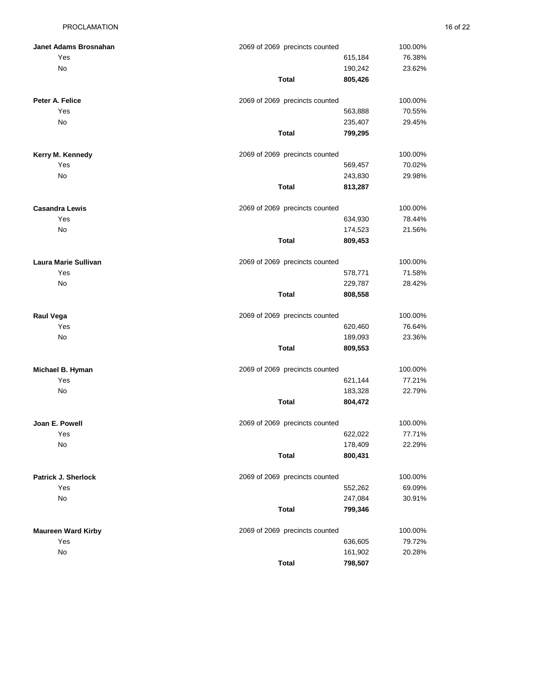| Janet Adams Brosnahan     | 2069 of 2069 precincts counted |         | 100.00% |
|---------------------------|--------------------------------|---------|---------|
| Yes                       |                                | 615,184 | 76.38%  |
| No                        |                                | 190,242 | 23.62%  |
|                           | <b>Total</b>                   | 805,426 |         |
| Peter A. Felice           | 2069 of 2069 precincts counted |         | 100.00% |
| Yes                       |                                | 563,888 | 70.55%  |
| No                        |                                | 235,407 | 29.45%  |
|                           | <b>Total</b>                   | 799,295 |         |
| Kerry M. Kennedy          | 2069 of 2069 precincts counted |         | 100.00% |
| Yes                       |                                | 569,457 | 70.02%  |
| No                        |                                | 243,830 | 29.98%  |
|                           | <b>Total</b>                   | 813,287 |         |
| <b>Casandra Lewis</b>     | 2069 of 2069 precincts counted |         | 100.00% |
| Yes                       |                                | 634,930 | 78.44%  |
| No                        |                                | 174,523 | 21.56%  |
|                           | <b>Total</b>                   | 809,453 |         |
| Laura Marie Sullivan      | 2069 of 2069 precincts counted |         | 100.00% |
| Yes                       |                                | 578,771 | 71.58%  |
| No                        |                                | 229,787 | 28.42%  |
|                           | <b>Total</b>                   | 808,558 |         |
| Raul Vega                 | 2069 of 2069 precincts counted |         | 100.00% |
| Yes                       |                                | 620,460 | 76.64%  |
| No                        |                                | 189,093 | 23.36%  |
|                           | <b>Total</b>                   | 809,553 |         |
| Michael B. Hyman          | 2069 of 2069 precincts counted |         | 100.00% |
| Yes                       |                                | 621,144 | 77.21%  |
| No                        |                                | 183,328 | 22.79%  |
|                           | <b>Total</b>                   | 804,472 |         |
| Joan E. Powell            | 2069 of 2069 precincts counted |         | 100.00% |
| Yes                       |                                | 622,022 | 77.71%  |
| No                        |                                | 178,409 | 22.29%  |
|                           | <b>Total</b>                   | 800,431 |         |
| Patrick J. Sherlock       | 2069 of 2069 precincts counted |         | 100.00% |
| Yes                       |                                | 552,262 | 69.09%  |
| No                        |                                | 247,084 | 30.91%  |
|                           | <b>Total</b>                   | 799,346 |         |
| <b>Maureen Ward Kirby</b> | 2069 of 2069 precincts counted |         | 100.00% |
| Yes                       |                                | 636,605 | 79.72%  |
| No                        |                                | 161,902 | 20.28%  |
|                           | <b>Total</b>                   | 798,507 |         |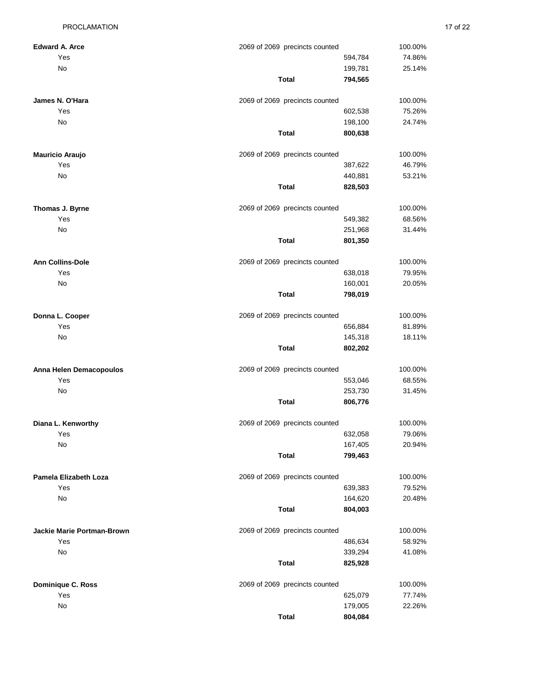| <b>Edward A. Arce</b>             | 2069 of 2069 precincts counted | 100.00% |
|-----------------------------------|--------------------------------|---------|
| Yes                               | 594,784                        | 74.86%  |
| No                                | 199,781                        | 25.14%  |
|                                   | <b>Total</b><br>794,565        |         |
| James N. O'Hara                   | 2069 of 2069 precincts counted | 100.00% |
| Yes                               | 602,538                        | 75.26%  |
| No                                | 198,100                        | 24.74%  |
|                                   | <b>Total</b><br>800,638        |         |
| <b>Mauricio Araujo</b>            | 2069 of 2069 precincts counted | 100.00% |
| Yes                               | 387,622                        | 46.79%  |
| No                                | 440,881                        | 53.21%  |
|                                   | Total<br>828,503               |         |
| Thomas J. Byrne                   | 2069 of 2069 precincts counted | 100.00% |
| Yes                               | 549,382                        | 68.56%  |
| No                                | 251,968                        | 31.44%  |
|                                   | Total<br>801,350               |         |
| <b>Ann Collins-Dole</b>           | 2069 of 2069 precincts counted | 100.00% |
| Yes                               | 638,018                        | 79.95%  |
| No                                | 160,001                        | 20.05%  |
|                                   | <b>Total</b><br>798,019        |         |
| Donna L. Cooper                   | 2069 of 2069 precincts counted | 100.00% |
| Yes                               | 656,884                        | 81.89%  |
| No                                | 145,318                        | 18.11%  |
|                                   | <b>Total</b><br>802,202        |         |
| Anna Helen Demacopoulos           | 2069 of 2069 precincts counted | 100.00% |
| Yes                               | 553,046                        | 68.55%  |
| No                                | 253,730                        | 31.45%  |
|                                   | <b>Total</b><br>806,776        |         |
| Diana L. Kenworthy                | 2069 of 2069 precincts counted | 100.00% |
| Yes                               | 632,058                        | 79.06%  |
| No                                | 167,405                        | 20.94%  |
|                                   | <b>Total</b><br>799,463        |         |
| Pamela Elizabeth Loza             | 2069 of 2069 precincts counted | 100.00% |
| Yes                               | 639,383                        | 79.52%  |
| No                                | 164,620                        | 20.48%  |
|                                   | <b>Total</b><br>804,003        |         |
| <b>Jackie Marie Portman-Brown</b> | 2069 of 2069 precincts counted | 100.00% |
| Yes                               | 486,634                        | 58.92%  |
| No                                | 339,294                        | 41.08%  |
|                                   | <b>Total</b><br>825,928        |         |
| Dominique C. Ross                 | 2069 of 2069 precincts counted | 100.00% |
| Yes                               | 625,079                        | 77.74%  |
| No                                | 179,005                        | 22.26%  |

**Total 804,084**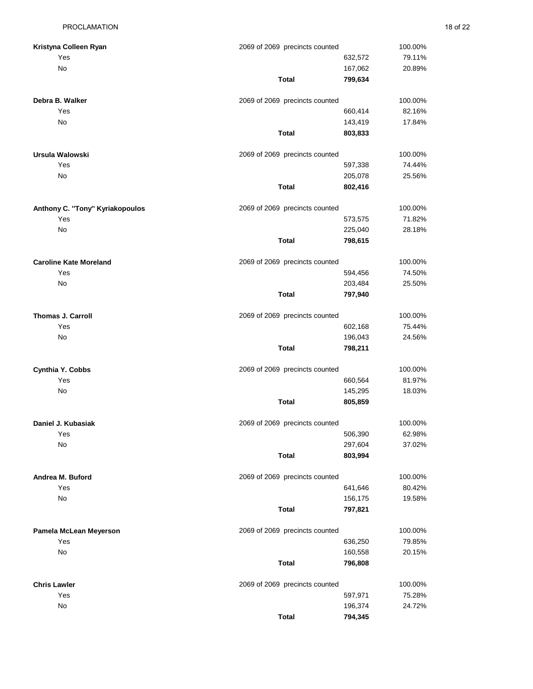| Kristyna Colleen Ryan           | 2069 of 2069 precincts counted |                    | 100.00% |
|---------------------------------|--------------------------------|--------------------|---------|
| Yes                             |                                | 632,572            | 79.11%  |
| No                              |                                | 167,062            | 20.89%  |
|                                 | <b>Total</b>                   | 799,634            |         |
| Debra B. Walker                 | 2069 of 2069 precincts counted |                    | 100.00% |
| Yes                             |                                | 660,414            | 82.16%  |
| No                              |                                | 143,419            | 17.84%  |
|                                 | <b>Total</b>                   | 803,833            |         |
| Ursula Walowski                 | 2069 of 2069 precincts counted |                    | 100.00% |
| Yes                             |                                | 597,338            | 74.44%  |
| No                              |                                | 205,078            | 25.56%  |
|                                 | <b>Total</b>                   | 802,416            |         |
| Anthony C. "Tony" Kyriakopoulos | 2069 of 2069 precincts counted |                    | 100.00% |
| Yes                             |                                | 573,575            | 71.82%  |
| No                              |                                | 225,040            | 28.18%  |
|                                 | Total                          | 798,615            |         |
| <b>Caroline Kate Moreland</b>   | 2069 of 2069 precincts counted |                    | 100.00% |
| Yes                             |                                | 594,456            | 74.50%  |
| No                              |                                | 203,484            | 25.50%  |
|                                 | <b>Total</b>                   | 797,940            |         |
| Thomas J. Carroll               | 2069 of 2069 precincts counted |                    | 100.00% |
| Yes                             |                                | 602,168            | 75.44%  |
| No                              |                                | 196,043            | 24.56%  |
|                                 | <b>Total</b>                   | 798,211            |         |
| Cynthia Y. Cobbs                | 2069 of 2069 precincts counted |                    | 100.00% |
| Yes                             |                                | 660,564            | 81.97%  |
| No                              |                                | 145,295            | 18.03%  |
|                                 | Total                          | 805,859            |         |
| Daniel J. Kubasiak              | 2069 of 2069 precincts counted |                    | 100.00% |
| Yes                             |                                | 506,390            | 62.98%  |
| No                              |                                | 297,604            | 37.02%  |
|                                 | <b>Total</b>                   | 803,994            |         |
| Andrea M. Buford                | 2069 of 2069 precincts counted |                    | 100.00% |
| Yes                             |                                | 641,646            | 80.42%  |
| No                              | <b>Total</b>                   | 156,175<br>797,821 | 19.58%  |
|                                 |                                |                    |         |
| Pamela McLean Meyerson          | 2069 of 2069 precincts counted |                    | 100.00% |
| Yes                             |                                | 636,250            | 79.85%  |
| No                              |                                | 160,558            | 20.15%  |
|                                 | <b>Total</b>                   | 796,808            |         |
| <b>Chris Lawler</b>             | 2069 of 2069 precincts counted |                    | 100.00% |
| Yes                             |                                | 597,971            | 75.28%  |

24.72%

**Total 794,345**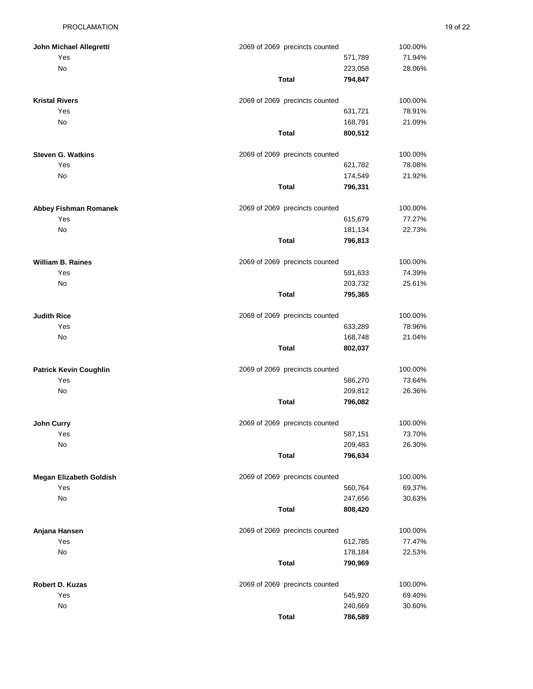| John Michael Allegretti       | 2069 of 2069 precincts counted | 100.00% |
|-------------------------------|--------------------------------|---------|
| Yes                           | 571,789                        | 71.94%  |
| No                            | 223,058                        | 28.06%  |
|                               | Total<br>794,847               |         |
| <b>Kristal Rivers</b>         | 2069 of 2069 precincts counted | 100.00% |
| Yes                           | 631,721                        | 78.91%  |
| No                            | 168,791                        | 21.09%  |
|                               | <b>Total</b><br>800,512        |         |
| <b>Steven G. Watkins</b>      | 2069 of 2069 precincts counted | 100.00% |
| Yes                           | 621,782                        | 78.08%  |
| No                            | 174,549                        | 21.92%  |
|                               | Total<br>796,331               |         |
| Abbey Fishman Romanek         | 2069 of 2069 precincts counted | 100.00% |
| Yes                           | 615,679                        | 77.27%  |
| No                            | 181,134                        | 22.73%  |
|                               | <b>Total</b><br>796,813        |         |
| William B. Raines             | 2069 of 2069 precincts counted | 100.00% |
| Yes                           | 591,633                        | 74.39%  |
| No                            | 203,732                        | 25.61%  |
|                               | Total<br>795,365               |         |
| <b>Judith Rice</b>            | 2069 of 2069 precincts counted | 100.00% |
| Yes                           | 633,289                        | 78.96%  |
| No                            | 168,748                        | 21.04%  |
|                               | <b>Total</b><br>802,037        |         |
| <b>Patrick Kevin Coughlin</b> | 2069 of 2069 precincts counted | 100.00% |
| Yes                           | 586,270                        | 73.64%  |
| No                            | 209,812                        | 26.36%  |
|                               | <b>Total</b><br>796,082        |         |
| John Curry                    | 2069 of 2069 precincts counted | 100.00% |
| Yes                           | 587,151                        | 73.70%  |
| No                            | 209,483                        | 26.30%  |
|                               | <b>Total</b><br>796,634        |         |
| Megan Elizabeth Goldish       | 2069 of 2069 precincts counted | 100.00% |
| Yes                           | 560,764                        | 69.37%  |
| No                            | 247,656                        | 30.63%  |
|                               | <b>Total</b><br>808,420        |         |
| Anjana Hansen                 | 2069 of 2069 precincts counted | 100.00% |
| Yes                           | 612,785                        | 77.47%  |
| No                            | 178,184                        | 22.53%  |
|                               | <b>Total</b><br>790,969        |         |
| Robert D. Kuzas               | 2069 of 2069 precincts counted | 100.00% |
| Yes                           | 545,920                        | 69.40%  |
| No                            | 240,669                        | 30.60%  |
|                               | <b>Total</b><br>786,589        |         |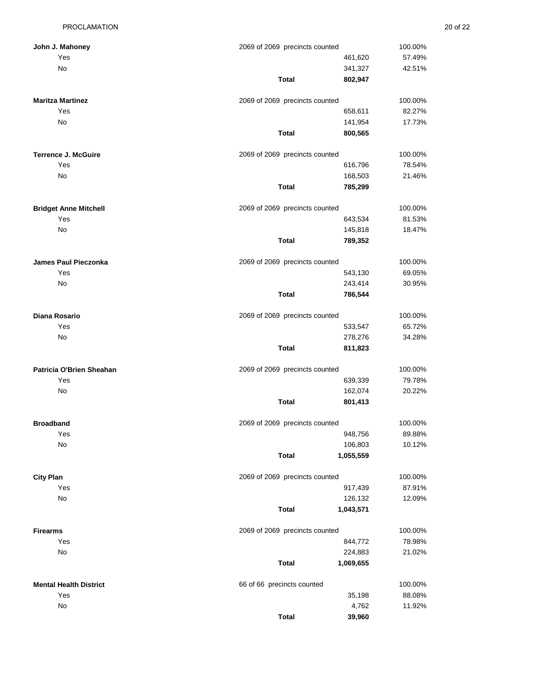**John J. Mahoney** 

**Maritza Martinez** 

**Terrence J. McGuire** 

| <b>PROCLAMATION</b>  |                                |         |         | 20 of 22 |
|----------------------|--------------------------------|---------|---------|----------|
| <b>Mahoney</b>       | 2069 of 2069 precincts counted |         | 100.00% |          |
| Yes                  |                                | 461,620 | 57.49%  |          |
| No                   |                                | 341,327 | 42.51%  |          |
|                      | Total                          | 802,947 |         |          |
| <b>Martinez</b>      | 2069 of 2069 precincts counted |         | 100.00% |          |
| Yes                  |                                | 658,611 | 82.27%  |          |
| No                   |                                | 141,954 | 17.73%  |          |
|                      | <b>Total</b>                   | 800,565 |         |          |
| e J. McGuire         | 2069 of 2069 precincts counted |         | 100.00% |          |
| Yes                  |                                | 616,796 | 78.54%  |          |
| No                   |                                | 168,503 | 21.46%  |          |
|                      | <b>Total</b>                   | 785,299 |         |          |
| <b>Anne Mitchell</b> | 2069 of 2069 precincts counted |         | 100.00% |          |

| <b>Bridget Anne Mitchell</b> | 2069 of 2069 precincts counted |         | 100.00% |  |
|------------------------------|--------------------------------|---------|---------|--|
| Yes                          |                                | 643,534 | 81.53%  |  |
| No                           | 145,818                        |         | 18.47%  |  |
|                              | <b>Total</b>                   | 789,352 |         |  |
| James Paul Pieczonka         | 2069 of 2069 precincts counted |         | 100.00% |  |
| Yes                          |                                | 543,130 | 69.05%  |  |
| No.                          |                                | 243.414 | 30.95%  |  |
|                              | <b>Total</b>                   | 786,544 |         |  |
| Diana Rosario                | 2069 of 2069 precincts counted |         | 100.00% |  |

| Yes                      |                                | 533,547 | 65.72%  |
|--------------------------|--------------------------------|---------|---------|
| <b>No</b>                |                                | 278,276 | 34.28%  |
|                          | Total                          | 811,823 |         |
| Patricia O'Brien Sheahan | 2069 of 2069 precincts counted |         | 100.00% |
| Yes                      |                                | 639,339 | 79.78%  |

| .  |  |    | $-0.00$ |
|----|--|----|---------|
| No |  |    | 162,074 |
|    |  | __ | .       |

| <b>Broadband</b> | 2069 of 2069 precincts counted |
|------------------|--------------------------------|
| Yes              | 948,756                        |
| No               | 106,803                        |

| ⊶itv∴ | Plan |
|-------|------|
|-------|------|

- 
- 
- - -

|                               | <b>Total</b>                   | 1,055,559 |         |
|-------------------------------|--------------------------------|-----------|---------|
| <b>City Plan</b>              | 2069 of 2069 precincts counted |           | 100.00% |
| Yes                           |                                | 917,439   | 87.91%  |
| <b>No</b>                     |                                | 126,132   | 12.09%  |
|                               | <b>Total</b>                   | 1,043,571 |         |
| <b>Firearms</b>               | 2069 of 2069 precincts counted |           | 100.00% |
| Yes                           |                                | 844,772   | 78.98%  |
| No                            |                                | 224,883   | 21.02%  |
|                               | <b>Total</b>                   | 1,069,655 |         |
| <b>Mental Health District</b> | 66 of 66 precincts counted     |           | 100.00% |
| Yes                           |                                | 35,198    | 88.08%  |
| No                            |                                | 4,762     | 11.92%  |

**Total 39,960**

**Total 801,413**

20.22%

100.00% 89.88% 10.12%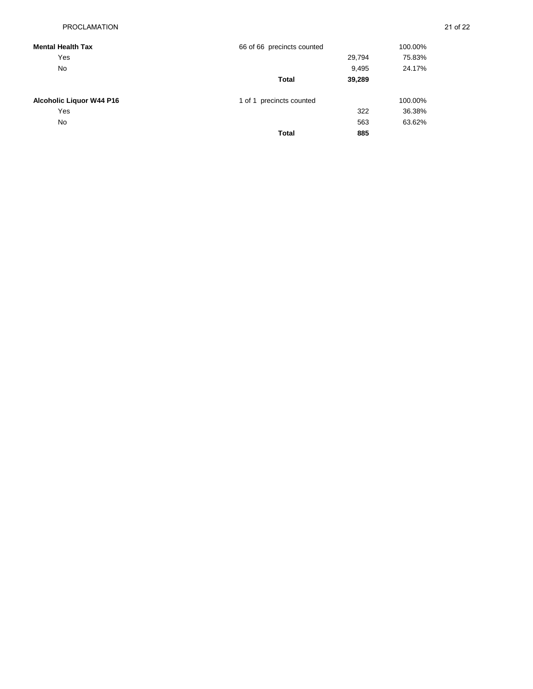| <b>Mental Health Tax</b>        | 66 of 66 precincts counted |        | 100.00% |
|---------------------------------|----------------------------|--------|---------|
| Yes                             |                            | 29,794 | 75.83%  |
| <b>No</b>                       |                            | 9,495  | 24.17%  |
|                                 | <b>Total</b>               | 39,289 |         |
| <b>Alcoholic Liquor W44 P16</b> | 1 of 1 precincts counted   |        | 100.00% |
| Yes                             |                            | 322    | 36.38%  |
| <b>No</b>                       |                            | 563    | 63.62%  |
|                                 | <b>Total</b>               | 885    |         |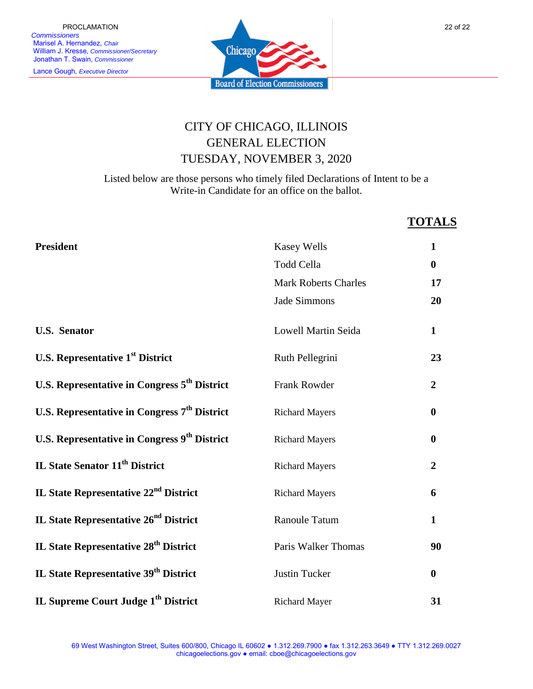

## CITY OF CHICAGO, ILLINOIS GENERAL ELECTION TUESDAY, NOVEMBER 3, 2020

Listed below are those persons who timely filed Declarations of Intent to be a Write-in Candidate for an office on the ballot.

## **TOTALS**

| <b>President</b>                                         | <b>Kasey Wells</b>          | $\mathbf{1}$     |
|----------------------------------------------------------|-----------------------------|------------------|
|                                                          | <b>Todd Cella</b>           | $\mathbf{0}$     |
|                                                          | <b>Mark Roberts Charles</b> | 17               |
|                                                          | Jade Simmons                | 20               |
| <b>U.S. Senator</b>                                      | Lowell Martin Seida         | $\mathbf{1}$     |
| <b>U.S. Representative 1st District</b>                  | Ruth Pellegrini             | 23               |
| U.S. Representative in Congress 5 <sup>th</sup> District | Frank Rowder                | $\overline{2}$   |
| U.S. Representative in Congress 7 <sup>th</sup> District | <b>Richard Mayers</b>       | $\bf{0}$         |
| U.S. Representative in Congress 9 <sup>th</sup> District | <b>Richard Mayers</b>       | $\boldsymbol{0}$ |
| IL State Senator 11 <sup>th</sup> District               | <b>Richard Mayers</b>       | $\overline{2}$   |
| IL State Representative 22 <sup>nd</sup> District        | <b>Richard Mayers</b>       | 6                |
| <b>IL State Representative 26<sup>nd</sup> District</b>  | Ranoule Tatum               | $\mathbf{1}$     |
| IL State Representative 28 <sup>th</sup> District        | Paris Walker Thomas         | 90               |
| IL State Representative 39 <sup>th</sup> District        | <b>Justin Tucker</b>        | $\boldsymbol{0}$ |
| IL Supreme Court Judge 1 <sup>th</sup> District          | <b>Richard Mayer</b>        | 31               |